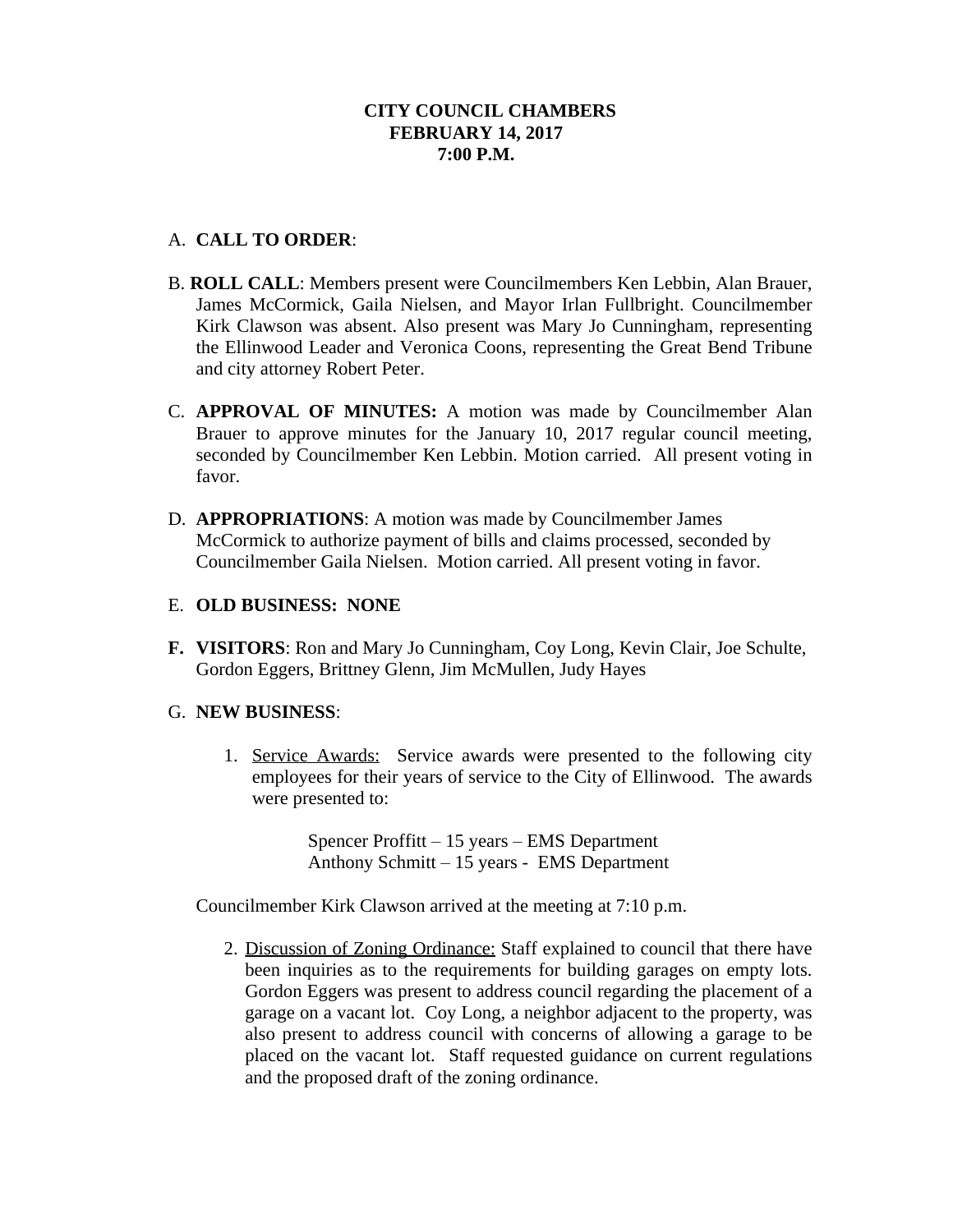# A. **CALL TO ORDER**:

- B. **ROLL CALL**: Members present were Councilmembers Ken Lebbin, Alan Brauer, James McCormick, Gaila Nielsen, and Mayor Irlan Fullbright. Councilmember Kirk Clawson was absent. Also present was Mary Jo Cunningham, representing the Ellinwood Leader and Veronica Coons, representing the Great Bend Tribune and city attorney Robert Peter.
- C. **APPROVAL OF MINUTES:** A motion was made by Councilmember Alan Brauer to approve minutes for the January 10, 2017 regular council meeting, seconded by Councilmember Ken Lebbin. Motion carried. All present voting in favor.
- D. **APPROPRIATIONS**: A motion was made by Councilmember James McCormick to authorize payment of bills and claims processed, seconded by Councilmember Gaila Nielsen. Motion carried. All present voting in favor.

## E. **OLD BUSINESS: NONE**

**F. VISITORS**: Ron and Mary Jo Cunningham, Coy Long, Kevin Clair, Joe Schulte, Gordon Eggers, Brittney Glenn, Jim McMullen, Judy Hayes

## G. **NEW BUSINESS**:

1. Service Awards: Service awards were presented to the following city employees for their years of service to the City of Ellinwood. The awards were presented to:

> Spencer Proffitt – 15 years – EMS Department Anthony Schmitt – 15 years - EMS Department

Councilmember Kirk Clawson arrived at the meeting at 7:10 p.m.

2. Discussion of Zoning Ordinance: Staff explained to council that there have been inquiries as to the requirements for building garages on empty lots. Gordon Eggers was present to address council regarding the placement of a garage on a vacant lot. Coy Long, a neighbor adjacent to the property, was also present to address council with concerns of allowing a garage to be placed on the vacant lot. Staff requested guidance on current regulations and the proposed draft of the zoning ordinance.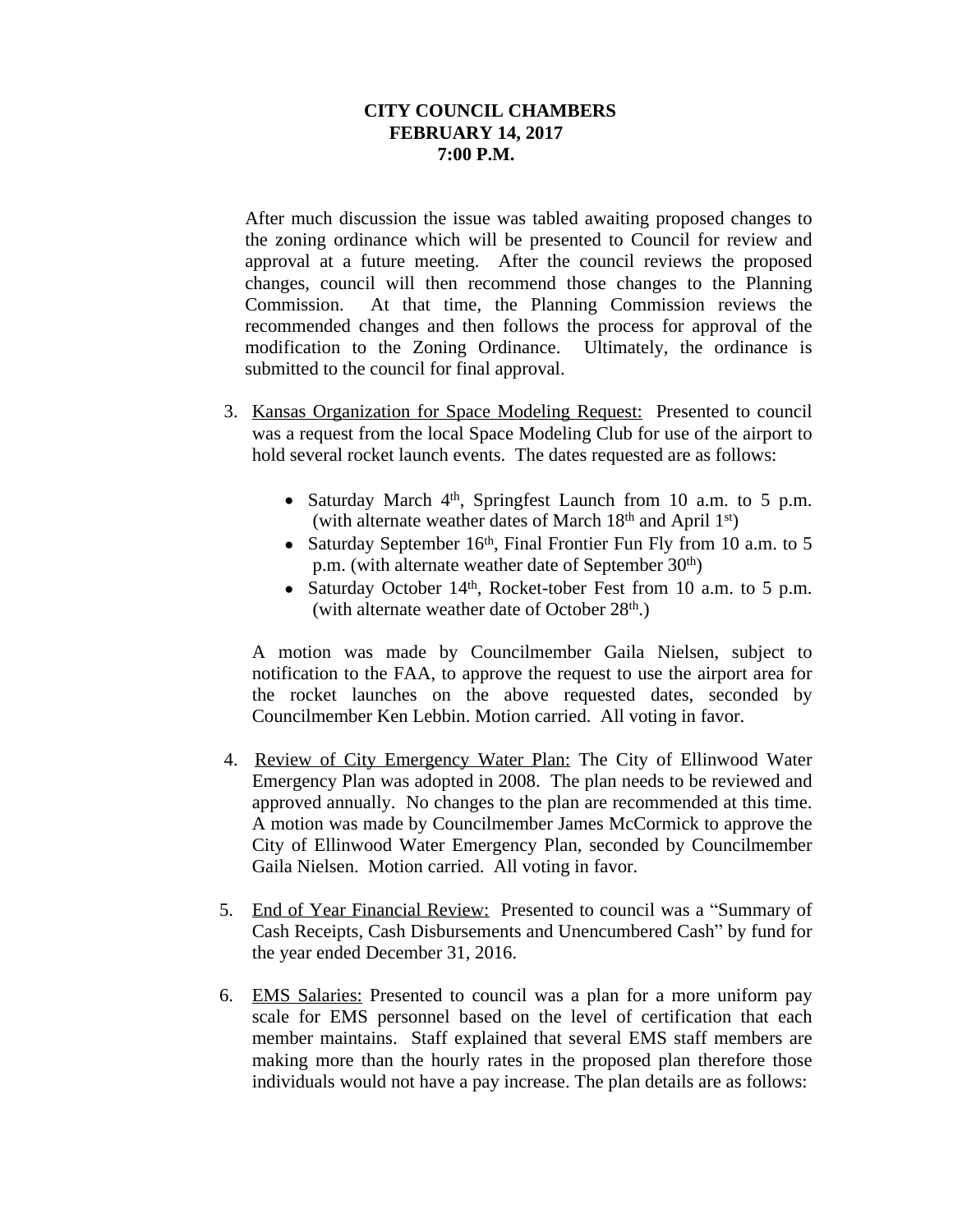After much discussion the issue was tabled awaiting proposed changes to the zoning ordinance which will be presented to Council for review and approval at a future meeting. After the council reviews the proposed changes, council will then recommend those changes to the Planning Commission. At that time, the Planning Commission reviews the recommended changes and then follows the process for approval of the modification to the Zoning Ordinance. Ultimately, the ordinance is submitted to the council for final approval.

- 3. Kansas Organization for Space Modeling Request: Presented to council was a request from the local Space Modeling Club for use of the airport to hold several rocket launch events. The dates requested are as follows:
	- Saturday March 4<sup>th</sup>, Springfest Launch from 10 a.m. to 5 p.m. (with alternate weather dates of March  $18<sup>th</sup>$  and April  $1<sup>st</sup>$ )
	- Saturday September 16<sup>th</sup>, Final Frontier Fun Fly from 10 a.m. to 5 p.m. (with alternate weather date of September 30th)
	- Saturday October 14th , Rocket-tober Fest from 10 a.m. to 5 p.m. (with alternate weather date of October  $28<sup>th</sup>$ .)

A motion was made by Councilmember Gaila Nielsen, subject to notification to the FAA, to approve the request to use the airport area for the rocket launches on the above requested dates, seconded by Councilmember Ken Lebbin. Motion carried. All voting in favor.

- 4. Review of City Emergency Water Plan: The City of Ellinwood Water Emergency Plan was adopted in 2008. The plan needs to be reviewed and approved annually. No changes to the plan are recommended at this time. A motion was made by Councilmember James McCormick to approve the City of Ellinwood Water Emergency Plan, seconded by Councilmember Gaila Nielsen. Motion carried. All voting in favor.
- 5. End of Year Financial Review: Presented to council was a "Summary of Cash Receipts, Cash Disbursements and Unencumbered Cash" by fund for the year ended December 31, 2016.
- 6. EMS Salaries: Presented to council was a plan for a more uniform pay scale for EMS personnel based on the level of certification that each member maintains. Staff explained that several EMS staff members are making more than the hourly rates in the proposed plan therefore those individuals would not have a pay increase. The plan details are as follows: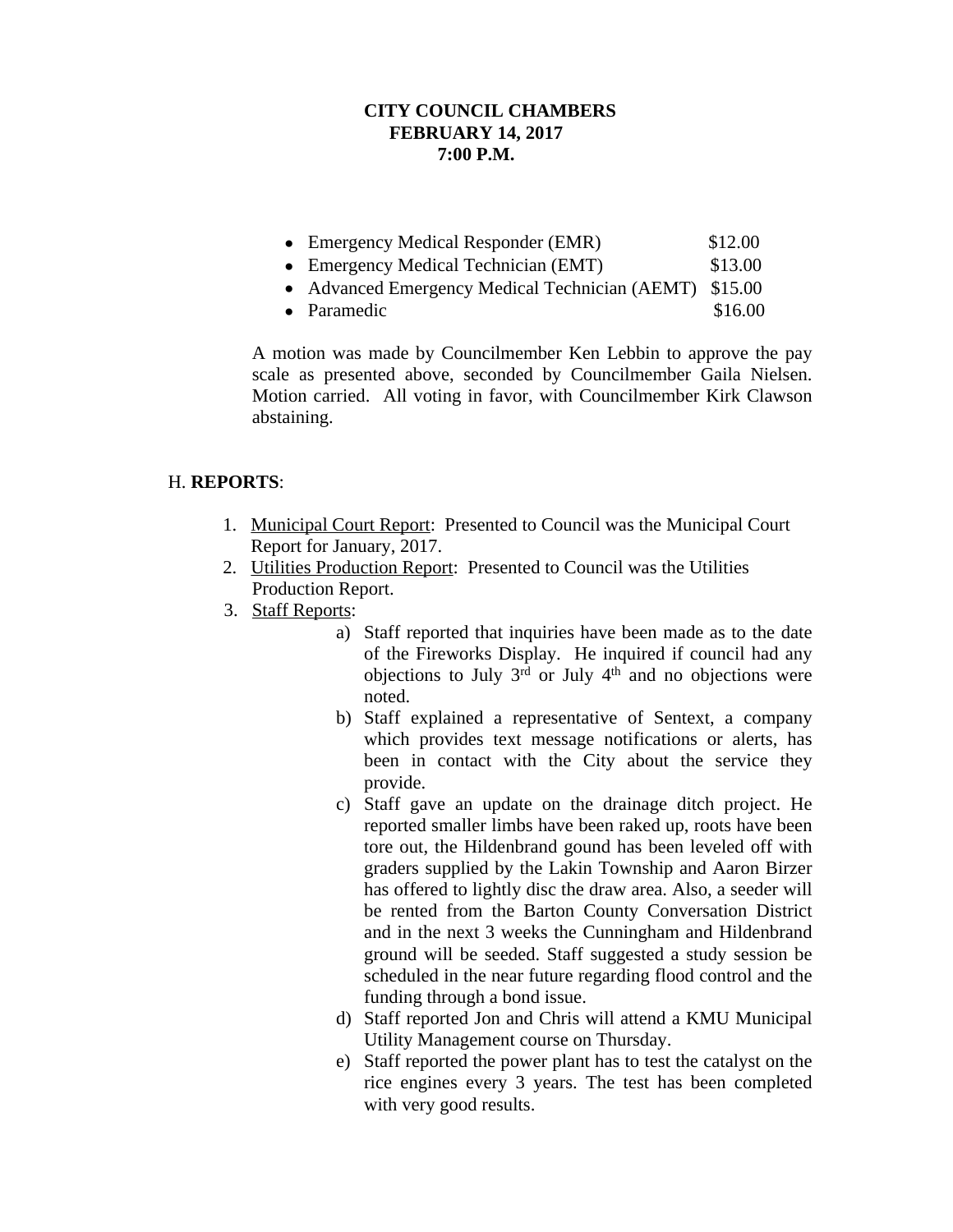- Emergency Medical Responder (EMR) \$12.00
- Emergency Medical Technician (EMT) \$13.00
- Advanced Emergency Medical Technician (AEMT) \$15.00
- Paramedic  $$16.00$

A motion was made by Councilmember Ken Lebbin to approve the pay scale as presented above, seconded by Councilmember Gaila Nielsen. Motion carried. All voting in favor, with Councilmember Kirk Clawson abstaining.

## H. **REPORTS**:

- 1. Municipal Court Report: Presented to Council was the Municipal Court Report for January, 2017.
- 2. Utilities Production Report: Presented to Council was the Utilities Production Report.
- 3. Staff Reports:
	- a) Staff reported that inquiries have been made as to the date of the Fireworks Display. He inquired if council had any objections to July  $3<sup>rd</sup>$  or July  $4<sup>th</sup>$  and no objections were noted.
	- b) Staff explained a representative of Sentext, a company which provides text message notifications or alerts, has been in contact with the City about the service they provide.
	- c) Staff gave an update on the drainage ditch project. He reported smaller limbs have been raked up, roots have been tore out, the Hildenbrand gound has been leveled off with graders supplied by the Lakin Township and Aaron Birzer has offered to lightly disc the draw area. Also, a seeder will be rented from the Barton County Conversation District and in the next 3 weeks the Cunningham and Hildenbrand ground will be seeded. Staff suggested a study session be scheduled in the near future regarding flood control and the funding through a bond issue.
	- d) Staff reported Jon and Chris will attend a KMU Municipal Utility Management course on Thursday.
	- e) Staff reported the power plant has to test the catalyst on the rice engines every 3 years. The test has been completed with very good results.